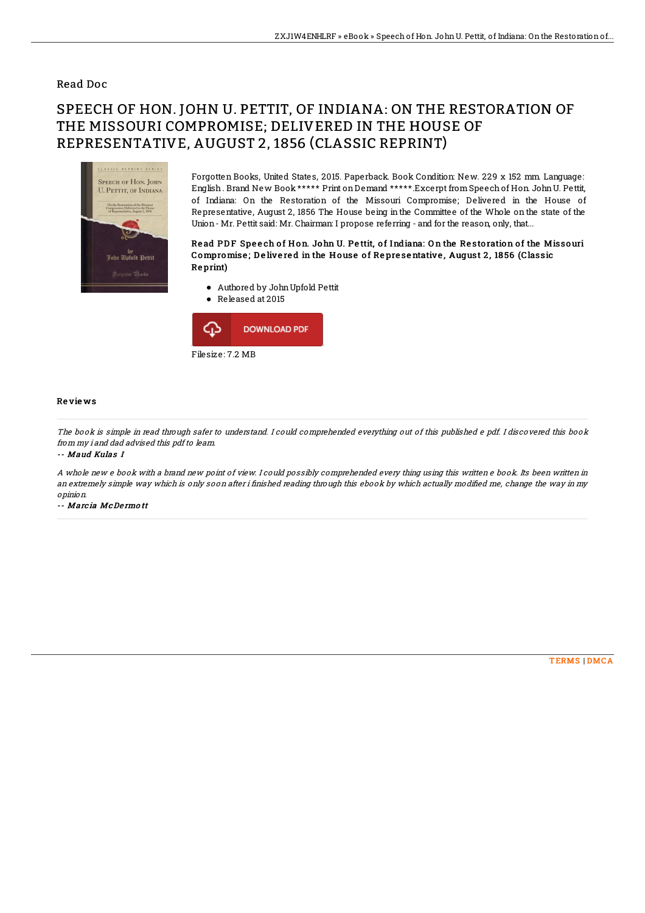### Read Doc

# SPEECH OF HON. JOHN U. PETTIT, OF INDIANA: ON THE RESTORATION OF THE MISSOURI COMPROMISE; DELIVERED IN THE HOUSE OF REPRESENTATIVE, AUGUST 2, 1856 (CLASSIC REPRINT)



Forgotten Books, United States, 2015. Paperback. Book Condition: New. 229 x 152 mm. Language: English. Brand New Book \*\*\*\*\* Print onDemand \*\*\*\*\*.Excerpt fromSpeechof Hon. JohnU. Pettit, of Indiana: On the Restoration of the Missouri Compromise; Delivered in the House of Representative, August 2, 1856 The House being in the Committee of the Whole on the state of the Union- Mr. Pettit said: Mr. Chairman: I propose referring - and for the reason, only, that...

#### Read PDF Speech of Hon. John U. Pettit, of Indiana: On the Restoration of the Missouri Compromise; Delivered in the House of Representative, August 2, 1856 (Classic Re print)

- Authored by JohnUpfold Pettit
- Released at 2015



#### Re vie ws

The book is simple in read through safer to understand. I could comprehended everything out of this published <sup>e</sup> pdf. I discovered this book from my i and dad advised this pdf to learn.

-- Maud Kulas I

A whole new <sup>e</sup> book with <sup>a</sup> brand new point of view. I could possibly comprehended every thing using this written <sup>e</sup> book. Its been written in an extremely simple way which is only soon after i finished reading through this ebook by which actually modified me, change the way in my opinion.

-- Marc ia McDe rmo tt